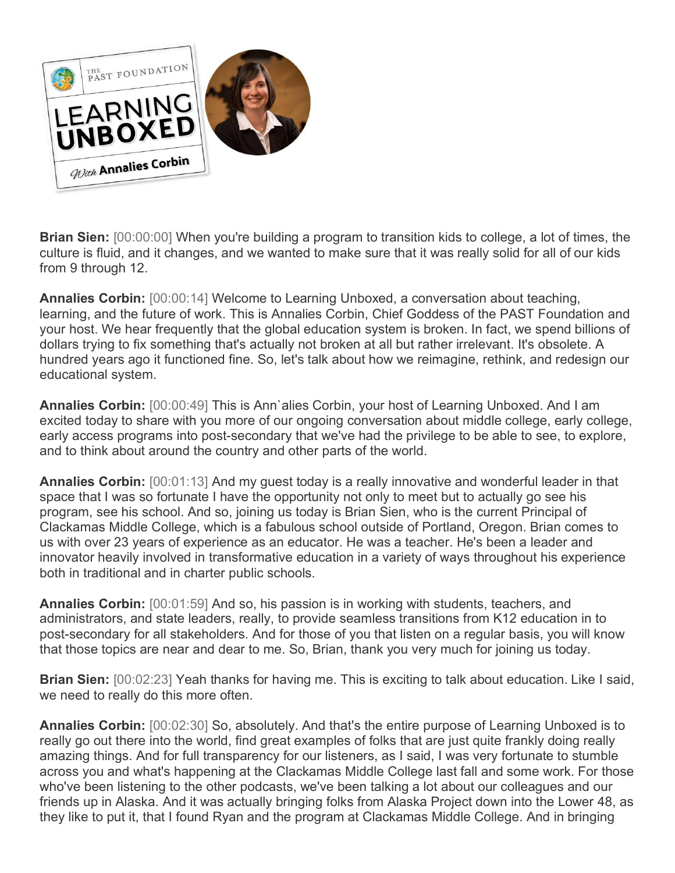

**Brian Sien:** [00:00:00] When you're building a program to transition kids to college, a lot of times, the culture is fluid, and it changes, and we wanted to make sure that it was really solid for all of our kids from 9 through 12.

**Annalies Corbin:** [00:00:14] Welcome to Learning Unboxed, a conversation about teaching, learning, and the future of work. This is Annalies Corbin, Chief Goddess of the PAST Foundation and your host. We hear frequently that the global education system is broken. In fact, we spend billions of dollars trying to fix something that's actually not broken at all but rather irrelevant. It's obsolete. A hundred years ago it functioned fine. So, let's talk about how we reimagine, rethink, and redesign our educational system.

**Annalies Corbin:** [00:00:49] This is Ann`alies Corbin, your host of Learning Unboxed. And I am excited today to share with you more of our ongoing conversation about middle college, early college, early access programs into post-secondary that we've had the privilege to be able to see, to explore, and to think about around the country and other parts of the world.

**Annalies Corbin:** [00:01:13] And my guest today is a really innovative and wonderful leader in that space that I was so fortunate I have the opportunity not only to meet but to actually go see his program, see his school. And so, joining us today is Brian Sien, who is the current Principal of Clackamas Middle College, which is a fabulous school outside of Portland, Oregon. Brian comes to us with over 23 years of experience as an educator. He was a teacher. He's been a leader and innovator heavily involved in transformative education in a variety of ways throughout his experience both in traditional and in charter public schools.

**Annalies Corbin:** [00:01:59] And so, his passion is in working with students, teachers, and administrators, and state leaders, really, to provide seamless transitions from K12 education in to post-secondary for all stakeholders. And for those of you that listen on a regular basis, you will know that those topics are near and dear to me. So, Brian, thank you very much for joining us today.

**Brian Sien:** [00:02:23] Yeah thanks for having me. This is exciting to talk about education. Like I said, we need to really do this more often.

**Annalies Corbin:** [00:02:30] So, absolutely. And that's the entire purpose of Learning Unboxed is to really go out there into the world, find great examples of folks that are just quite frankly doing really amazing things. And for full transparency for our listeners, as I said, I was very fortunate to stumble across you and what's happening at the Clackamas Middle College last fall and some work. For those who've been listening to the other podcasts, we've been talking a lot about our colleagues and our friends up in Alaska. And it was actually bringing folks from Alaska Project down into the Lower 48, as they like to put it, that I found Ryan and the program at Clackamas Middle College. And in bringing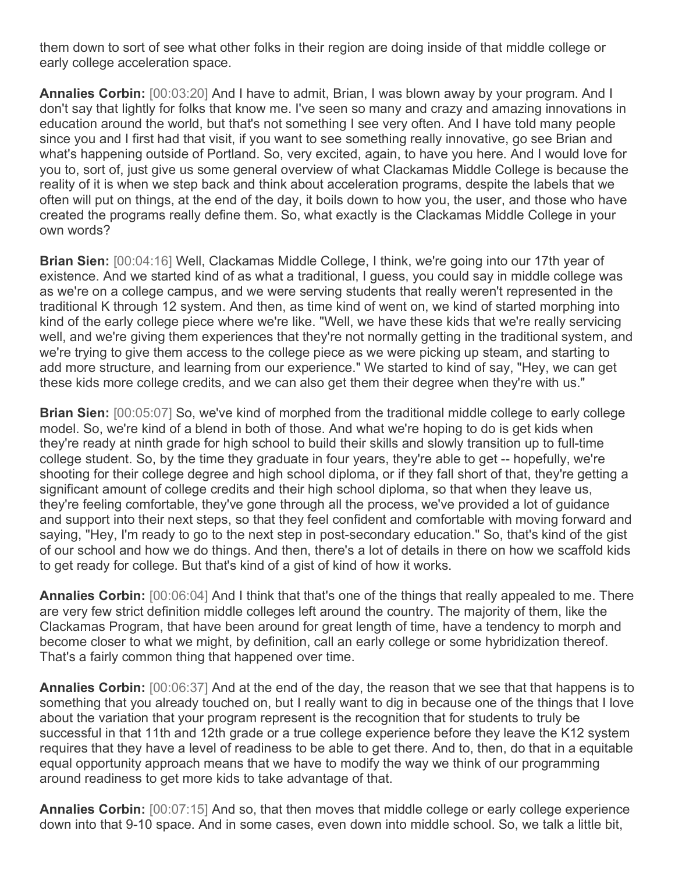them down to sort of see what other folks in their region are doing inside of that middle college or early college acceleration space.

**Annalies Corbin:** [00:03:20] And I have to admit, Brian, I was blown away by your program. And I don't say that lightly for folks that know me. I've seen so many and crazy and amazing innovations in education around the world, but that's not something I see very often. And I have told many people since you and I first had that visit, if you want to see something really innovative, go see Brian and what's happening outside of Portland. So, very excited, again, to have you here. And I would love for you to, sort of, just give us some general overview of what Clackamas Middle College is because the reality of it is when we step back and think about acceleration programs, despite the labels that we often will put on things, at the end of the day, it boils down to how you, the user, and those who have created the programs really define them. So, what exactly is the Clackamas Middle College in your own words?

**Brian Sien:** [00:04:16] Well, Clackamas Middle College, I think, we're going into our 17th year of existence. And we started kind of as what a traditional, I guess, you could say in middle college was as we're on a college campus, and we were serving students that really weren't represented in the traditional K through 12 system. And then, as time kind of went on, we kind of started morphing into kind of the early college piece where we're like. "Well, we have these kids that we're really servicing well, and we're giving them experiences that they're not normally getting in the traditional system, and we're trying to give them access to the college piece as we were picking up steam, and starting to add more structure, and learning from our experience." We started to kind of say, "Hey, we can get these kids more college credits, and we can also get them their degree when they're with us."

**Brian Sien:** [00:05:07] So, we've kind of morphed from the traditional middle college to early college model. So, we're kind of a blend in both of those. And what we're hoping to do is get kids when they're ready at ninth grade for high school to build their skills and slowly transition up to full-time college student. So, by the time they graduate in four years, they're able to get -- hopefully, we're shooting for their college degree and high school diploma, or if they fall short of that, they're getting a significant amount of college credits and their high school diploma, so that when they leave us, they're feeling comfortable, they've gone through all the process, we've provided a lot of guidance and support into their next steps, so that they feel confident and comfortable with moving forward and saying, "Hey, I'm ready to go to the next step in post-secondary education." So, that's kind of the gist of our school and how we do things. And then, there's a lot of details in there on how we scaffold kids to get ready for college. But that's kind of a gist of kind of how it works.

**Annalies Corbin:** [00:06:04] And I think that that's one of the things that really appealed to me. There are very few strict definition middle colleges left around the country. The majority of them, like the Clackamas Program, that have been around for great length of time, have a tendency to morph and become closer to what we might, by definition, call an early college or some hybridization thereof. That's a fairly common thing that happened over time.

**Annalies Corbin:** [00:06:37] And at the end of the day, the reason that we see that that happens is to something that you already touched on, but I really want to dig in because one of the things that I love about the variation that your program represent is the recognition that for students to truly be successful in that 11th and 12th grade or a true college experience before they leave the K12 system requires that they have a level of readiness to be able to get there. And to, then, do that in a equitable equal opportunity approach means that we have to modify the way we think of our programming around readiness to get more kids to take advantage of that.

**Annalies Corbin:** [00:07:15] And so, that then moves that middle college or early college experience down into that 9-10 space. And in some cases, even down into middle school. So, we talk a little bit,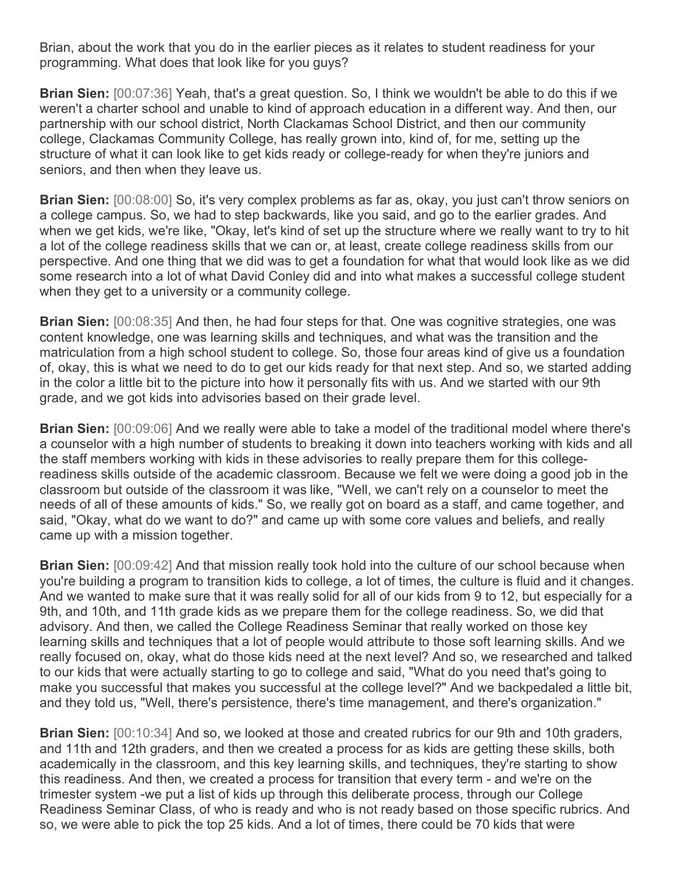Brian, about the work that you do in the earlier pieces as it relates to student readiness for your programming. What does that look like for you guys?

**Brian Sien:** [00:07:36] Yeah, that's a great question. So, I think we wouldn't be able to do this if we weren't a charter school and unable to kind of approach education in a different way. And then, our partnership with our school district, North Clackamas School District, and then our community college, Clackamas Community College, has really grown into, kind of, for me, setting up the structure of what it can look like to get kids ready or college-ready for when they're juniors and seniors, and then when they leave us.

**Brian Sien:** [00:08:00] So, it's very complex problems as far as, okay, you just can't throw seniors on a college campus. So, we had to step backwards, like you said, and go to the earlier grades. And when we get kids, we're like, "Okay, let's kind of set up the structure where we really want to try to hit a lot of the college readiness skills that we can or, at least, create college readiness skills from our perspective. And one thing that we did was to get a foundation for what that would look like as we did some research into a lot of what David Conley did and into what makes a successful college student when they get to a university or a community college.

**Brian Sien:** [00:08:35] And then, he had four steps for that. One was cognitive strategies, one was content knowledge, one was learning skills and techniques, and what was the transition and the matriculation from a high school student to college. So, those four areas kind of give us a foundation of, okay, this is what we need to do to get our kids ready for that next step. And so, we started adding in the color a little bit to the picture into how it personally fits with us. And we started with our 9th grade, and we got kids into advisories based on their grade level.

**Brian Sien:** [00:09:06] And we really were able to take a model of the traditional model where there's a counselor with a high number of students to breaking it down into teachers working with kids and all the staff members working with kids in these advisories to really prepare them for this collegereadiness skills outside of the academic classroom. Because we felt we were doing a good job in the classroom but outside of the classroom it was like, "Well, we can't rely on a counselor to meet the needs of all of these amounts of kids." So, we really got on board as a staff, and came together, and said, "Okay, what do we want to do?" and came up with some core values and beliefs, and really came up with a mission together.

**Brian Sien:** [00:09:42] And that mission really took hold into the culture of our school because when you're building a program to transition kids to college, a lot of times, the culture is fluid and it changes. And we wanted to make sure that it was really solid for all of our kids from 9 to 12, but especially for a 9th, and 10th, and 11th grade kids as we prepare them for the college readiness. So, we did that advisory. And then, we called the College Readiness Seminar that really worked on those key learning skills and techniques that a lot of people would attribute to those soft learning skills. And we really focused on, okay, what do those kids need at the next level? And so, we researched and talked to our kids that were actually starting to go to college and said, "What do you need that's going to make you successful that makes you successful at the college level?" And we backpedaled a little bit, and they told us, "Well, there's persistence, there's time management, and there's organization."

**Brian Sien:** [00:10:34] And so, we looked at those and created rubrics for our 9th and 10th graders, and 11th and 12th graders, and then we created a process for as kids are getting these skills, both academically in the classroom, and this key learning skills, and techniques, they're starting to show this readiness. And then, we created a process for transition that every term - and we're on the trimester system -we put a list of kids up through this deliberate process, through our College Readiness Seminar Class, of who is ready and who is not ready based on those specific rubrics. And so, we were able to pick the top 25 kids. And a lot of times, there could be 70 kids that were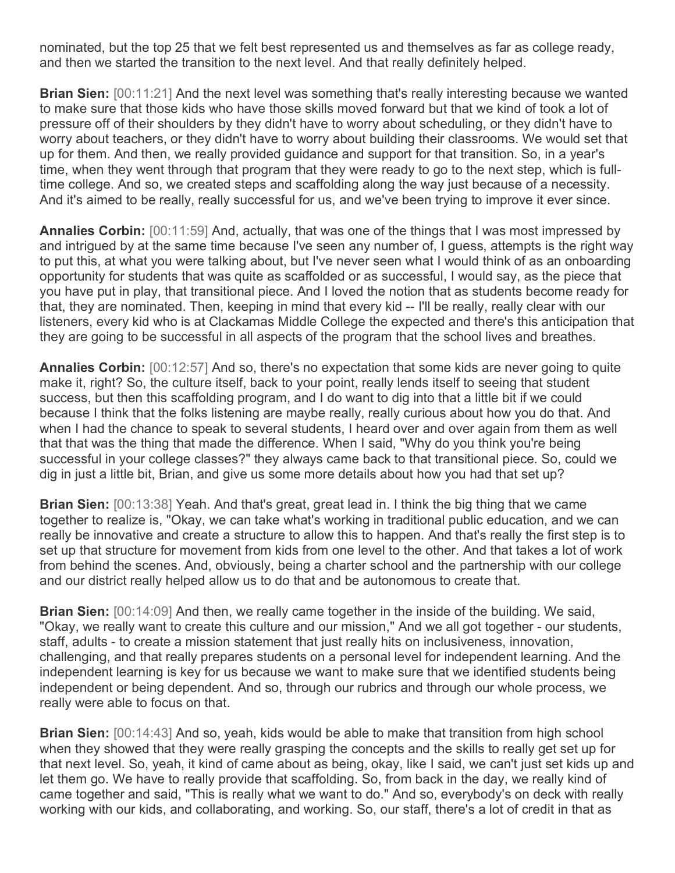nominated, but the top 25 that we felt best represented us and themselves as far as college ready, and then we started the transition to the next level. And that really definitely helped.

**Brian Sien:** [00:11:21] And the next level was something that's really interesting because we wanted to make sure that those kids who have those skills moved forward but that we kind of took a lot of pressure off of their shoulders by they didn't have to worry about scheduling, or they didn't have to worry about teachers, or they didn't have to worry about building their classrooms. We would set that up for them. And then, we really provided guidance and support for that transition. So, in a year's time, when they went through that program that they were ready to go to the next step, which is fulltime college. And so, we created steps and scaffolding along the way just because of a necessity. And it's aimed to be really, really successful for us, and we've been trying to improve it ever since.

**Annalies Corbin:** [00:11:59] And, actually, that was one of the things that I was most impressed by and intrigued by at the same time because I've seen any number of, I guess, attempts is the right way to put this, at what you were talking about, but I've never seen what I would think of as an onboarding opportunity for students that was quite as scaffolded or as successful, I would say, as the piece that you have put in play, that transitional piece. And I loved the notion that as students become ready for that, they are nominated. Then, keeping in mind that every kid -- I'll be really, really clear with our listeners, every kid who is at Clackamas Middle College the expected and there's this anticipation that they are going to be successful in all aspects of the program that the school lives and breathes.

**Annalies Corbin:** [00:12:57] And so, there's no expectation that some kids are never going to quite make it, right? So, the culture itself, back to your point, really lends itself to seeing that student success, but then this scaffolding program, and I do want to dig into that a little bit if we could because I think that the folks listening are maybe really, really curious about how you do that. And when I had the chance to speak to several students, I heard over and over again from them as well that that was the thing that made the difference. When I said, "Why do you think you're being successful in your college classes?" they always came back to that transitional piece. So, could we dig in just a little bit, Brian, and give us some more details about how you had that set up?

**Brian Sien:** [00:13:38] Yeah. And that's great, great lead in. I think the big thing that we came together to realize is, "Okay, we can take what's working in traditional public education, and we can really be innovative and create a structure to allow this to happen. And that's really the first step is to set up that structure for movement from kids from one level to the other. And that takes a lot of work from behind the scenes. And, obviously, being a charter school and the partnership with our college and our district really helped allow us to do that and be autonomous to create that.

**Brian Sien:** [00:14:09] And then, we really came together in the inside of the building. We said, "Okay, we really want to create this culture and our mission," And we all got together - our students, staff, adults - to create a mission statement that just really hits on inclusiveness, innovation, challenging, and that really prepares students on a personal level for independent learning. And the independent learning is key for us because we want to make sure that we identified students being independent or being dependent. And so, through our rubrics and through our whole process, we really were able to focus on that.

**Brian Sien:** [00:14:43] And so, yeah, kids would be able to make that transition from high school when they showed that they were really grasping the concepts and the skills to really get set up for that next level. So, yeah, it kind of came about as being, okay, like I said, we can't just set kids up and let them go. We have to really provide that scaffolding. So, from back in the day, we really kind of came together and said, "This is really what we want to do." And so, everybody's on deck with really working with our kids, and collaborating, and working. So, our staff, there's a lot of credit in that as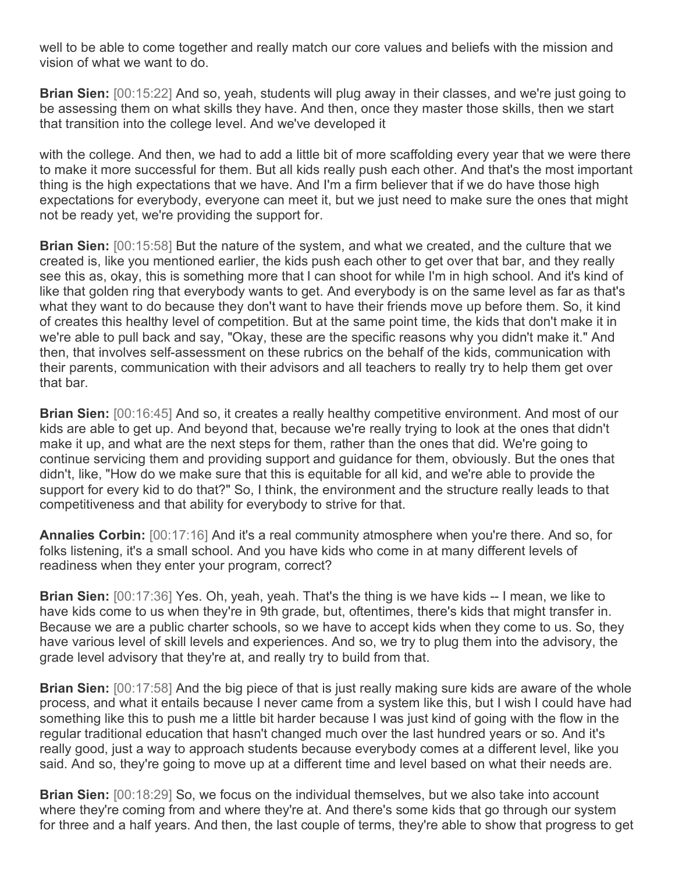well to be able to come together and really match our core values and beliefs with the mission and vision of what we want to do.

**Brian Sien:** [00:15:22] And so, yeah, students will plug away in their classes, and we're just going to be assessing them on what skills they have. And then, once they master those skills, then we start that transition into the college level. And we've developed it

with the college. And then, we had to add a little bit of more scaffolding every year that we were there to make it more successful for them. But all kids really push each other. And that's the most important thing is the high expectations that we have. And I'm a firm believer that if we do have those high expectations for everybody, everyone can meet it, but we just need to make sure the ones that might not be ready yet, we're providing the support for.

**Brian Sien:** [00:15:58] But the nature of the system, and what we created, and the culture that we created is, like you mentioned earlier, the kids push each other to get over that bar, and they really see this as, okay, this is something more that I can shoot for while I'm in high school. And it's kind of like that golden ring that everybody wants to get. And everybody is on the same level as far as that's what they want to do because they don't want to have their friends move up before them. So, it kind of creates this healthy level of competition. But at the same point time, the kids that don't make it in we're able to pull back and say, "Okay, these are the specific reasons why you didn't make it." And then, that involves self-assessment on these rubrics on the behalf of the kids, communication with their parents, communication with their advisors and all teachers to really try to help them get over that bar.

**Brian Sien:** [00:16:45] And so, it creates a really healthy competitive environment. And most of our kids are able to get up. And beyond that, because we're really trying to look at the ones that didn't make it up, and what are the next steps for them, rather than the ones that did. We're going to continue servicing them and providing support and guidance for them, obviously. But the ones that didn't, like, "How do we make sure that this is equitable for all kid, and we're able to provide the support for every kid to do that?" So, I think, the environment and the structure really leads to that competitiveness and that ability for everybody to strive for that.

**Annalies Corbin:** [00:17:16] And it's a real community atmosphere when you're there. And so, for folks listening, it's a small school. And you have kids who come in at many different levels of readiness when they enter your program, correct?

**Brian Sien:** [00:17:36] Yes. Oh, yeah, yeah. That's the thing is we have kids -- I mean, we like to have kids come to us when they're in 9th grade, but, oftentimes, there's kids that might transfer in. Because we are a public charter schools, so we have to accept kids when they come to us. So, they have various level of skill levels and experiences. And so, we try to plug them into the advisory, the grade level advisory that they're at, and really try to build from that.

**Brian Sien:** [00:17:58] And the big piece of that is just really making sure kids are aware of the whole process, and what it entails because I never came from a system like this, but I wish I could have had something like this to push me a little bit harder because I was just kind of going with the flow in the regular traditional education that hasn't changed much over the last hundred years or so. And it's really good, just a way to approach students because everybody comes at a different level, like you said. And so, they're going to move up at a different time and level based on what their needs are.

**Brian Sien:** [00:18:29] So, we focus on the individual themselves, but we also take into account where they're coming from and where they're at. And there's some kids that go through our system for three and a half years. And then, the last couple of terms, they're able to show that progress to get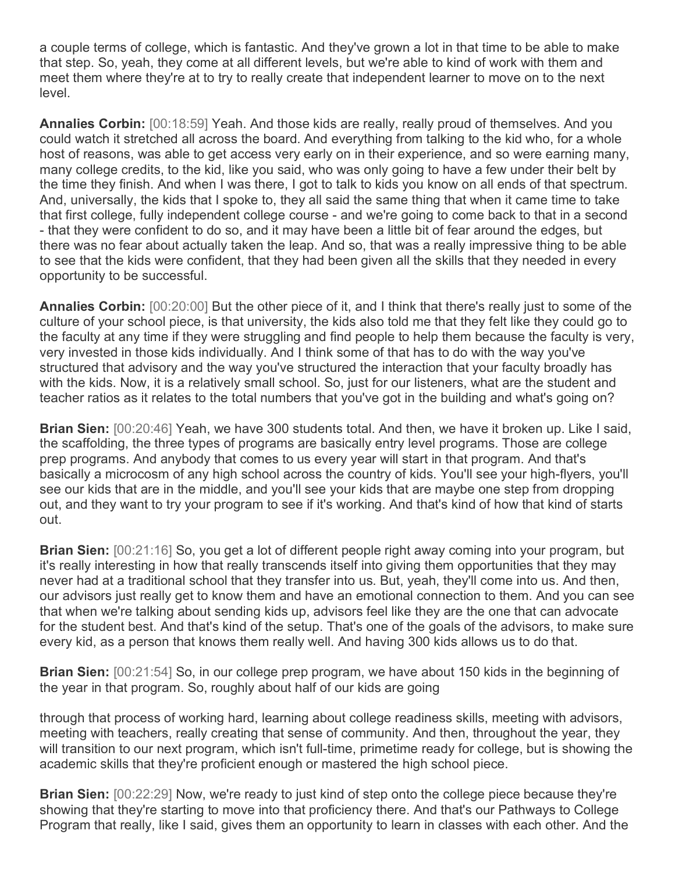a couple terms of college, which is fantastic. And they've grown a lot in that time to be able to make that step. So, yeah, they come at all different levels, but we're able to kind of work with them and meet them where they're at to try to really create that independent learner to move on to the next level.

**Annalies Corbin:** [00:18:59] Yeah. And those kids are really, really proud of themselves. And you could watch it stretched all across the board. And everything from talking to the kid who, for a whole host of reasons, was able to get access very early on in their experience, and so were earning many, many college credits, to the kid, like you said, who was only going to have a few under their belt by the time they finish. And when I was there, I got to talk to kids you know on all ends of that spectrum. And, universally, the kids that I spoke to, they all said the same thing that when it came time to take that first college, fully independent college course - and we're going to come back to that in a second - that they were confident to do so, and it may have been a little bit of fear around the edges, but there was no fear about actually taken the leap. And so, that was a really impressive thing to be able to see that the kids were confident, that they had been given all the skills that they needed in every opportunity to be successful.

**Annalies Corbin:** [00:20:00] But the other piece of it, and I think that there's really just to some of the culture of your school piece, is that university, the kids also told me that they felt like they could go to the faculty at any time if they were struggling and find people to help them because the faculty is very, very invested in those kids individually. And I think some of that has to do with the way you've structured that advisory and the way you've structured the interaction that your faculty broadly has with the kids. Now, it is a relatively small school. So, just for our listeners, what are the student and teacher ratios as it relates to the total numbers that you've got in the building and what's going on?

**Brian Sien:** [00:20:46] Yeah, we have 300 students total. And then, we have it broken up. Like I said, the scaffolding, the three types of programs are basically entry level programs. Those are college prep programs. And anybody that comes to us every year will start in that program. And that's basically a microcosm of any high school across the country of kids. You'll see your high-flyers, you'll see our kids that are in the middle, and you'll see your kids that are maybe one step from dropping out, and they want to try your program to see if it's working. And that's kind of how that kind of starts out.

**Brian Sien:** [00:21:16] So, you get a lot of different people right away coming into your program, but it's really interesting in how that really transcends itself into giving them opportunities that they may never had at a traditional school that they transfer into us. But, yeah, they'll come into us. And then, our advisors just really get to know them and have an emotional connection to them. And you can see that when we're talking about sending kids up, advisors feel like they are the one that can advocate for the student best. And that's kind of the setup. That's one of the goals of the advisors, to make sure every kid, as a person that knows them really well. And having 300 kids allows us to do that.

**Brian Sien:** [00:21:54] So, in our college prep program, we have about 150 kids in the beginning of the year in that program. So, roughly about half of our kids are going

through that process of working hard, learning about college readiness skills, meeting with advisors, meeting with teachers, really creating that sense of community. And then, throughout the year, they will transition to our next program, which isn't full-time, primetime ready for college, but is showing the academic skills that they're proficient enough or mastered the high school piece.

**Brian Sien:** [00:22:29] Now, we're ready to just kind of step onto the college piece because they're showing that they're starting to move into that proficiency there. And that's our Pathways to College Program that really, like I said, gives them an opportunity to learn in classes with each other. And the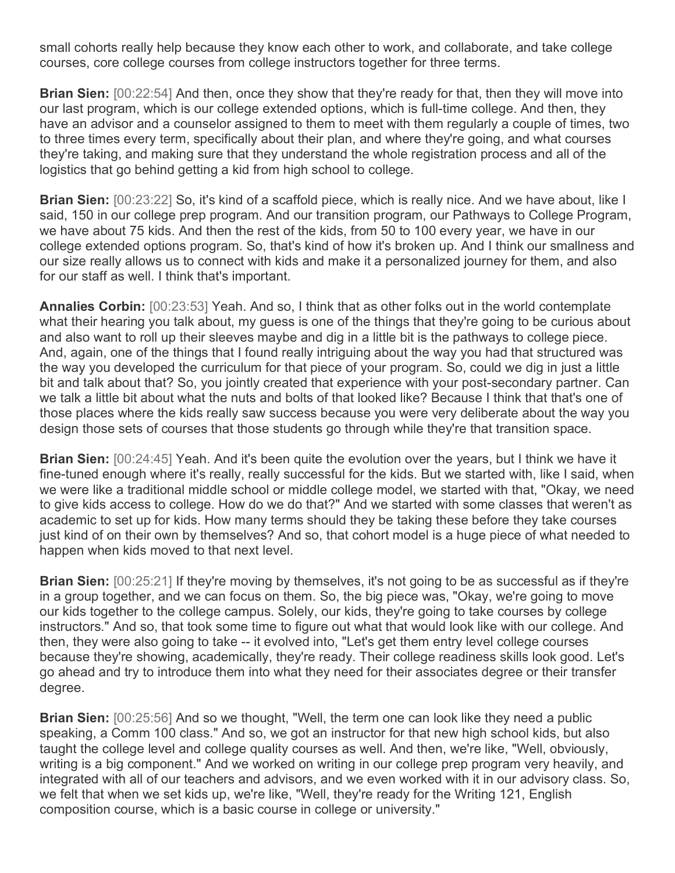small cohorts really help because they know each other to work, and collaborate, and take college courses, core college courses from college instructors together for three terms.

**Brian Sien:** [00:22:54] And then, once they show that they're ready for that, then they will move into our last program, which is our college extended options, which is full-time college. And then, they have an advisor and a counselor assigned to them to meet with them regularly a couple of times, two to three times every term, specifically about their plan, and where they're going, and what courses they're taking, and making sure that they understand the whole registration process and all of the logistics that go behind getting a kid from high school to college.

**Brian Sien:** [00:23:22] So, it's kind of a scaffold piece, which is really nice. And we have about, like I said, 150 in our college prep program. And our transition program, our Pathways to College Program, we have about 75 kids. And then the rest of the kids, from 50 to 100 every year, we have in our college extended options program. So, that's kind of how it's broken up. And I think our smallness and our size really allows us to connect with kids and make it a personalized journey for them, and also for our staff as well. I think that's important.

**Annalies Corbin:** [00:23:53] Yeah. And so, I think that as other folks out in the world contemplate what their hearing you talk about, my guess is one of the things that they're going to be curious about and also want to roll up their sleeves maybe and dig in a little bit is the pathways to college piece. And, again, one of the things that I found really intriguing about the way you had that structured was the way you developed the curriculum for that piece of your program. So, could we dig in just a little bit and talk about that? So, you jointly created that experience with your post-secondary partner. Can we talk a little bit about what the nuts and bolts of that looked like? Because I think that that's one of those places where the kids really saw success because you were very deliberate about the way you design those sets of courses that those students go through while they're that transition space.

**Brian Sien:** [00:24:45] Yeah. And it's been quite the evolution over the years, but I think we have it fine-tuned enough where it's really, really successful for the kids. But we started with, like I said, when we were like a traditional middle school or middle college model, we started with that, "Okay, we need to give kids access to college. How do we do that?" And we started with some classes that weren't as academic to set up for kids. How many terms should they be taking these before they take courses just kind of on their own by themselves? And so, that cohort model is a huge piece of what needed to happen when kids moved to that next level.

**Brian Sien:** [00:25:21] If they're moving by themselves, it's not going to be as successful as if they're in a group together, and we can focus on them. So, the big piece was, "Okay, we're going to move our kids together to the college campus. Solely, our kids, they're going to take courses by college instructors." And so, that took some time to figure out what that would look like with our college. And then, they were also going to take -- it evolved into, "Let's get them entry level college courses because they're showing, academically, they're ready. Their college readiness skills look good. Let's go ahead and try to introduce them into what they need for their associates degree or their transfer degree.

**Brian Sien:** [00:25:56] And so we thought, "Well, the term one can look like they need a public speaking, a Comm 100 class." And so, we got an instructor for that new high school kids, but also taught the college level and college quality courses as well. And then, we're like, "Well, obviously, writing is a big component." And we worked on writing in our college prep program very heavily, and integrated with all of our teachers and advisors, and we even worked with it in our advisory class. So, we felt that when we set kids up, we're like, "Well, they're ready for the Writing 121, English composition course, which is a basic course in college or university."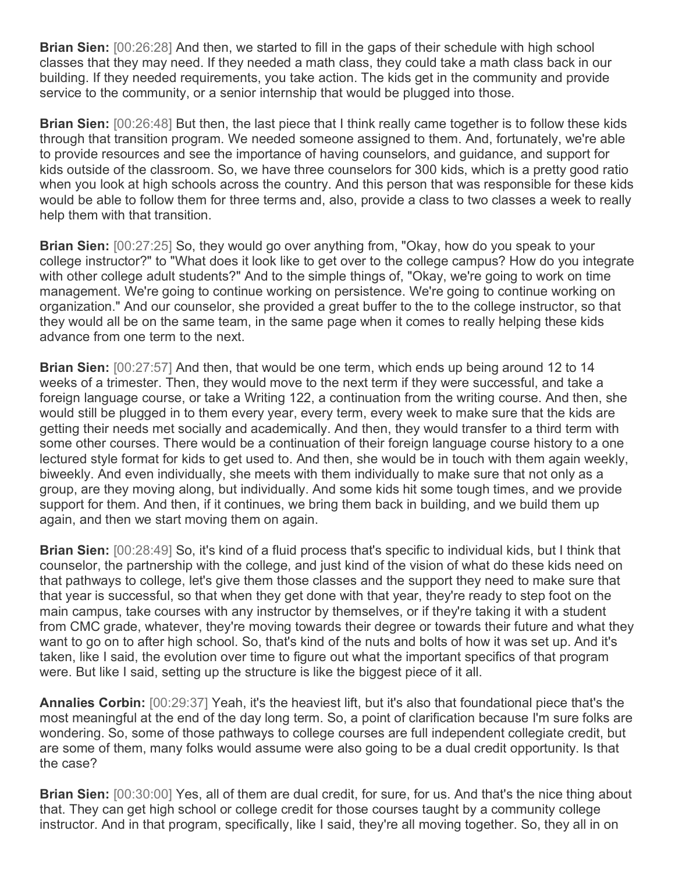**Brian Sien:** [00:26:28] And then, we started to fill in the gaps of their schedule with high school classes that they may need. If they needed a math class, they could take a math class back in our building. If they needed requirements, you take action. The kids get in the community and provide service to the community, or a senior internship that would be plugged into those.

**Brian Sien:** [00:26:48] But then, the last piece that I think really came together is to follow these kids through that transition program. We needed someone assigned to them. And, fortunately, we're able to provide resources and see the importance of having counselors, and guidance, and support for kids outside of the classroom. So, we have three counselors for 300 kids, which is a pretty good ratio when you look at high schools across the country. And this person that was responsible for these kids would be able to follow them for three terms and, also, provide a class to two classes a week to really help them with that transition.

**Brian Sien:** [00:27:25] So, they would go over anything from, "Okay, how do you speak to your college instructor?" to "What does it look like to get over to the college campus? How do you integrate with other college adult students?" And to the simple things of, "Okay, we're going to work on time management. We're going to continue working on persistence. We're going to continue working on organization." And our counselor, she provided a great buffer to the to the college instructor, so that they would all be on the same team, in the same page when it comes to really helping these kids advance from one term to the next.

**Brian Sien:** [00:27:57] And then, that would be one term, which ends up being around 12 to 14 weeks of a trimester. Then, they would move to the next term if they were successful, and take a foreign language course, or take a Writing 122, a continuation from the writing course. And then, she would still be plugged in to them every year, every term, every week to make sure that the kids are getting their needs met socially and academically. And then, they would transfer to a third term with some other courses. There would be a continuation of their foreign language course history to a one lectured style format for kids to get used to. And then, she would be in touch with them again weekly, biweekly. And even individually, she meets with them individually to make sure that not only as a group, are they moving along, but individually. And some kids hit some tough times, and we provide support for them. And then, if it continues, we bring them back in building, and we build them up again, and then we start moving them on again.

**Brian Sien:** [00:28:49] So, it's kind of a fluid process that's specific to individual kids, but I think that counselor, the partnership with the college, and just kind of the vision of what do these kids need on that pathways to college, let's give them those classes and the support they need to make sure that that year is successful, so that when they get done with that year, they're ready to step foot on the main campus, take courses with any instructor by themselves, or if they're taking it with a student from CMC grade, whatever, they're moving towards their degree or towards their future and what they want to go on to after high school. So, that's kind of the nuts and bolts of how it was set up. And it's taken, like I said, the evolution over time to figure out what the important specifics of that program were. But like I said, setting up the structure is like the biggest piece of it all.

**Annalies Corbin:** [00:29:37] Yeah, it's the heaviest lift, but it's also that foundational piece that's the most meaningful at the end of the day long term. So, a point of clarification because I'm sure folks are wondering. So, some of those pathways to college courses are full independent collegiate credit, but are some of them, many folks would assume were also going to be a dual credit opportunity. Is that the case?

**Brian Sien:** [00:30:00] Yes, all of them are dual credit, for sure, for us. And that's the nice thing about that. They can get high school or college credit for those courses taught by a community college instructor. And in that program, specifically, like I said, they're all moving together. So, they all in on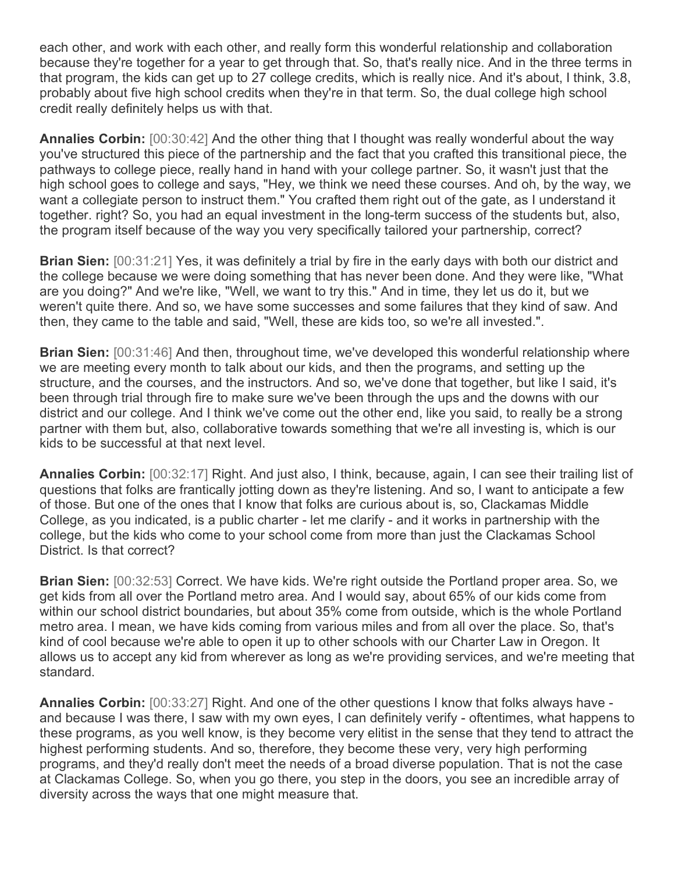each other, and work with each other, and really form this wonderful relationship and collaboration because they're together for a year to get through that. So, that's really nice. And in the three terms in that program, the kids can get up to 27 college credits, which is really nice. And it's about, I think, 3.8, probably about five high school credits when they're in that term. So, the dual college high school credit really definitely helps us with that.

**Annalies Corbin:** [00:30:42] And the other thing that I thought was really wonderful about the way you've structured this piece of the partnership and the fact that you crafted this transitional piece, the pathways to college piece, really hand in hand with your college partner. So, it wasn't just that the high school goes to college and says, "Hey, we think we need these courses. And oh, by the way, we want a collegiate person to instruct them." You crafted them right out of the gate, as I understand it together. right? So, you had an equal investment in the long-term success of the students but, also, the program itself because of the way you very specifically tailored your partnership, correct?

**Brian Sien:**  $[00:31:21]$  Yes, it was definitely a trial by fire in the early days with both our district and the college because we were doing something that has never been done. And they were like, "What are you doing?" And we're like, "Well, we want to try this." And in time, they let us do it, but we weren't quite there. And so, we have some successes and some failures that they kind of saw. And then, they came to the table and said, "Well, these are kids too, so we're all invested.".

**Brian Sien:** [00:31:46] And then, throughout time, we've developed this wonderful relationship where we are meeting every month to talk about our kids, and then the programs, and setting up the structure, and the courses, and the instructors. And so, we've done that together, but like I said, it's been through trial through fire to make sure we've been through the ups and the downs with our district and our college. And I think we've come out the other end, like you said, to really be a strong partner with them but, also, collaborative towards something that we're all investing is, which is our kids to be successful at that next level.

**Annalies Corbin:** [00:32:17] Right. And just also, I think, because, again, I can see their trailing list of questions that folks are frantically jotting down as they're listening. And so, I want to anticipate a few of those. But one of the ones that I know that folks are curious about is, so, Clackamas Middle College, as you indicated, is a public charter - let me clarify - and it works in partnership with the college, but the kids who come to your school come from more than just the Clackamas School District. Is that correct?

**Brian Sien:** [00:32:53] Correct. We have kids. We're right outside the Portland proper area. So, we get kids from all over the Portland metro area. And I would say, about 65% of our kids come from within our school district boundaries, but about 35% come from outside, which is the whole Portland metro area. I mean, we have kids coming from various miles and from all over the place. So, that's kind of cool because we're able to open it up to other schools with our Charter Law in Oregon. It allows us to accept any kid from wherever as long as we're providing services, and we're meeting that standard.

**Annalies Corbin:** [00:33:27] Right. And one of the other questions I know that folks always have and because I was there, I saw with my own eyes, I can definitely verify - oftentimes, what happens to these programs, as you well know, is they become very elitist in the sense that they tend to attract the highest performing students. And so, therefore, they become these very, very high performing programs, and they'd really don't meet the needs of a broad diverse population. That is not the case at Clackamas College. So, when you go there, you step in the doors, you see an incredible array of diversity across the ways that one might measure that.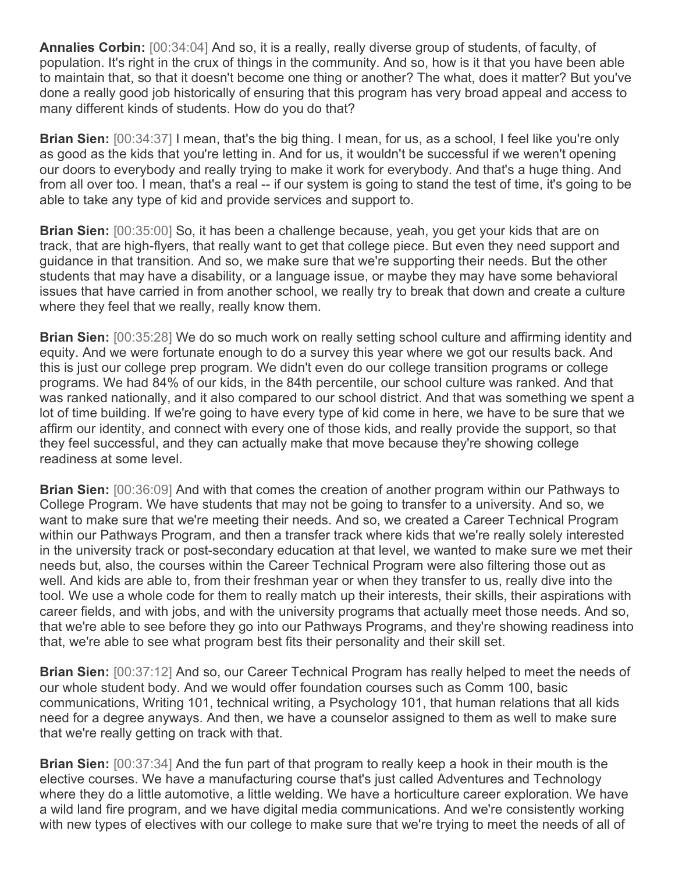**Annalies Corbin:** [00:34:04] And so, it is a really, really diverse group of students, of faculty, of population. It's right in the crux of things in the community. And so, how is it that you have been able to maintain that, so that it doesn't become one thing or another? The what, does it matter? But you've done a really good job historically of ensuring that this program has very broad appeal and access to many different kinds of students. How do you do that?

**Brian Sien:** [00:34:37] I mean, that's the big thing. I mean, for us, as a school, I feel like you're only as good as the kids that you're letting in. And for us, it wouldn't be successful if we weren't opening our doors to everybody and really trying to make it work for everybody. And that's a huge thing. And from all over too. I mean, that's a real -- if our system is going to stand the test of time, it's going to be able to take any type of kid and provide services and support to.

**Brian Sien:** [00:35:00] So, it has been a challenge because, yeah, you get your kids that are on track, that are high-flyers, that really want to get that college piece. But even they need support and guidance in that transition. And so, we make sure that we're supporting their needs. But the other students that may have a disability, or a language issue, or maybe they may have some behavioral issues that have carried in from another school, we really try to break that down and create a culture where they feel that we really, really know them.

**Brian Sien:** [00:35:28] We do so much work on really setting school culture and affirming identity and equity. And we were fortunate enough to do a survey this year where we got our results back. And this is just our college prep program. We didn't even do our college transition programs or college programs. We had 84% of our kids, in the 84th percentile, our school culture was ranked. And that was ranked nationally, and it also compared to our school district. And that was something we spent a lot of time building. If we're going to have every type of kid come in here, we have to be sure that we affirm our identity, and connect with every one of those kids, and really provide the support, so that they feel successful, and they can actually make that move because they're showing college readiness at some level.

**Brian Sien:** [00:36:09] And with that comes the creation of another program within our Pathways to College Program. We have students that may not be going to transfer to a university. And so, we want to make sure that we're meeting their needs. And so, we created a Career Technical Program within our Pathways Program, and then a transfer track where kids that we're really solely interested in the university track or post-secondary education at that level, we wanted to make sure we met their needs but, also, the courses within the Career Technical Program were also filtering those out as well. And kids are able to, from their freshman year or when they transfer to us, really dive into the tool. We use a whole code for them to really match up their interests, their skills, their aspirations with career fields, and with jobs, and with the university programs that actually meet those needs. And so, that we're able to see before they go into our Pathways Programs, and they're showing readiness into that, we're able to see what program best fits their personality and their skill set.

**Brian Sien:** [00:37:12] And so, our Career Technical Program has really helped to meet the needs of our whole student body. And we would offer foundation courses such as Comm 100, basic communications, Writing 101, technical writing, a Psychology 101, that human relations that all kids need for a degree anyways. And then, we have a counselor assigned to them as well to make sure that we're really getting on track with that.

**Brian Sien:** [00:37:34] And the fun part of that program to really keep a hook in their mouth is the elective courses. We have a manufacturing course that's just called Adventures and Technology where they do a little automotive, a little welding. We have a horticulture career exploration. We have a wild land fire program, and we have digital media communications. And we're consistently working with new types of electives with our college to make sure that we're trying to meet the needs of all of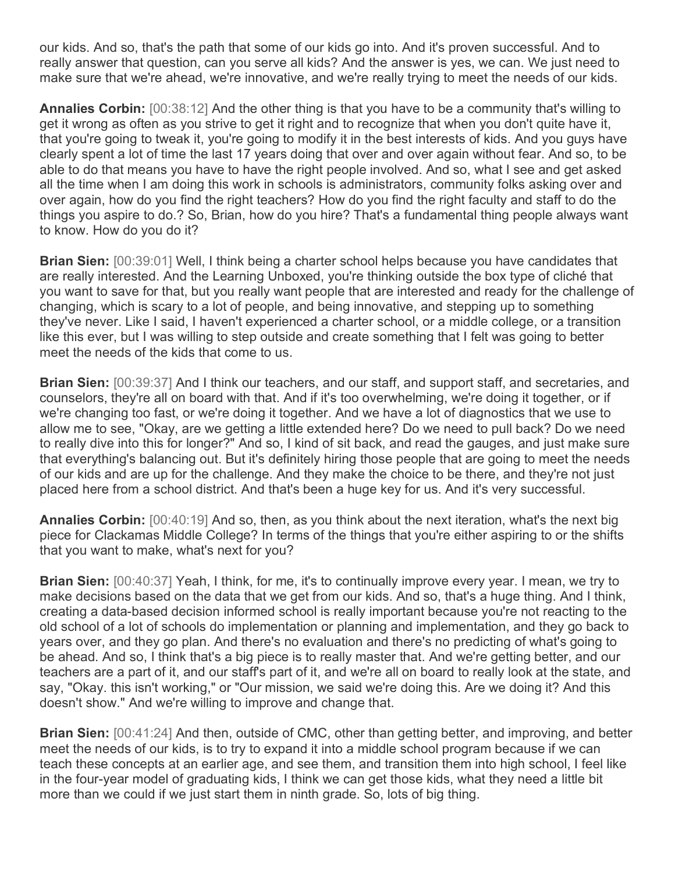our kids. And so, that's the path that some of our kids go into. And it's proven successful. And to really answer that question, can you serve all kids? And the answer is yes, we can. We just need to make sure that we're ahead, we're innovative, and we're really trying to meet the needs of our kids.

**Annalies Corbin:** [00:38:12] And the other thing is that you have to be a community that's willing to get it wrong as often as you strive to get it right and to recognize that when you don't quite have it, that you're going to tweak it, you're going to modify it in the best interests of kids. And you guys have clearly spent a lot of time the last 17 years doing that over and over again without fear. And so, to be able to do that means you have to have the right people involved. And so, what I see and get asked all the time when I am doing this work in schools is administrators, community folks asking over and over again, how do you find the right teachers? How do you find the right faculty and staff to do the things you aspire to do.? So, Brian, how do you hire? That's a fundamental thing people always want to know. How do you do it?

**Brian Sien:** [00:39:01] Well, I think being a charter school helps because you have candidates that are really interested. And the Learning Unboxed, you're thinking outside the box type of cliché that you want to save for that, but you really want people that are interested and ready for the challenge of changing, which is scary to a lot of people, and being innovative, and stepping up to something they've never. Like I said, I haven't experienced a charter school, or a middle college, or a transition like this ever, but I was willing to step outside and create something that I felt was going to better meet the needs of the kids that come to us.

**Brian Sien:** [00:39:37] And I think our teachers, and our staff, and support staff, and secretaries, and counselors, they're all on board with that. And if it's too overwhelming, we're doing it together, or if we're changing too fast, or we're doing it together. And we have a lot of diagnostics that we use to allow me to see, "Okay, are we getting a little extended here? Do we need to pull back? Do we need to really dive into this for longer?" And so, I kind of sit back, and read the gauges, and just make sure that everything's balancing out. But it's definitely hiring those people that are going to meet the needs of our kids and are up for the challenge. And they make the choice to be there, and they're not just placed here from a school district. And that's been a huge key for us. And it's very successful.

**Annalies Corbin:** [00:40:19] And so, then, as you think about the next iteration, what's the next big piece for Clackamas Middle College? In terms of the things that you're either aspiring to or the shifts that you want to make, what's next for you?

**Brian Sien:** [00:40:37] Yeah, I think, for me, it's to continually improve every year. I mean, we try to make decisions based on the data that we get from our kids. And so, that's a huge thing. And I think, creating a data-based decision informed school is really important because you're not reacting to the old school of a lot of schools do implementation or planning and implementation, and they go back to years over, and they go plan. And there's no evaluation and there's no predicting of what's going to be ahead. And so, I think that's a big piece is to really master that. And we're getting better, and our teachers are a part of it, and our staff's part of it, and we're all on board to really look at the state, and say, "Okay. this isn't working," or "Our mission, we said we're doing this. Are we doing it? And this doesn't show." And we're willing to improve and change that.

**Brian Sien:** [00:41:24] And then, outside of CMC, other than getting better, and improving, and better meet the needs of our kids, is to try to expand it into a middle school program because if we can teach these concepts at an earlier age, and see them, and transition them into high school, I feel like in the four-year model of graduating kids, I think we can get those kids, what they need a little bit more than we could if we just start them in ninth grade. So, lots of big thing.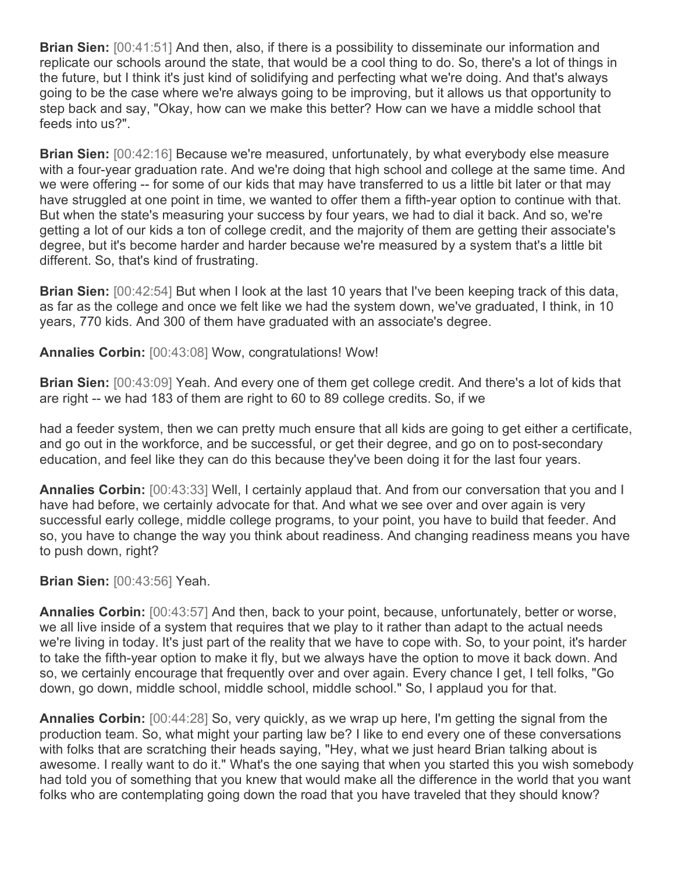**Brian Sien:** [00:41:51] And then, also, if there is a possibility to disseminate our information and replicate our schools around the state, that would be a cool thing to do. So, there's a lot of things in the future, but I think it's just kind of solidifying and perfecting what we're doing. And that's always going to be the case where we're always going to be improving, but it allows us that opportunity to step back and say, "Okay, how can we make this better? How can we have a middle school that feeds into us?".

**Brian Sien:** [00:42:16] Because we're measured, unfortunately, by what everybody else measure with a four-year graduation rate. And we're doing that high school and college at the same time. And we were offering -- for some of our kids that may have transferred to us a little bit later or that may have struggled at one point in time, we wanted to offer them a fifth-year option to continue with that. But when the state's measuring your success by four years, we had to dial it back. And so, we're getting a lot of our kids a ton of college credit, and the majority of them are getting their associate's degree, but it's become harder and harder because we're measured by a system that's a little bit different. So, that's kind of frustrating.

**Brian Sien:** [00:42:54] But when I look at the last 10 years that I've been keeping track of this data, as far as the college and once we felt like we had the system down, we've graduated, I think, in 10 years, 770 kids. And 300 of them have graduated with an associate's degree.

**Annalies Corbin:** [00:43:08] Wow, congratulations! Wow!

**Brian Sien:** [00:43:09] Yeah. And every one of them get college credit. And there's a lot of kids that are right -- we had 183 of them are right to 60 to 89 college credits. So, if we

had a feeder system, then we can pretty much ensure that all kids are going to get either a certificate, and go out in the workforce, and be successful, or get their degree, and go on to post-secondary education, and feel like they can do this because they've been doing it for the last four years.

**Annalies Corbin:** [00:43:33] Well, I certainly applaud that. And from our conversation that you and I have had before, we certainly advocate for that. And what we see over and over again is very successful early college, middle college programs, to your point, you have to build that feeder. And so, you have to change the way you think about readiness. And changing readiness means you have to push down, right?

## **Brian Sien:** [00:43:56] Yeah.

**Annalies Corbin:** [00:43:57] And then, back to your point, because, unfortunately, better or worse, we all live inside of a system that requires that we play to it rather than adapt to the actual needs we're living in today. It's just part of the reality that we have to cope with. So, to your point, it's harder to take the fifth-year option to make it fly, but we always have the option to move it back down. And so, we certainly encourage that frequently over and over again. Every chance I get, I tell folks, "Go down, go down, middle school, middle school, middle school." So, I applaud you for that.

**Annalies Corbin:** [00:44:28] So, very quickly, as we wrap up here, I'm getting the signal from the production team. So, what might your parting law be? I like to end every one of these conversations with folks that are scratching their heads saying, "Hey, what we just heard Brian talking about is awesome. I really want to do it." What's the one saying that when you started this you wish somebody had told you of something that you knew that would make all the difference in the world that you want folks who are contemplating going down the road that you have traveled that they should know?